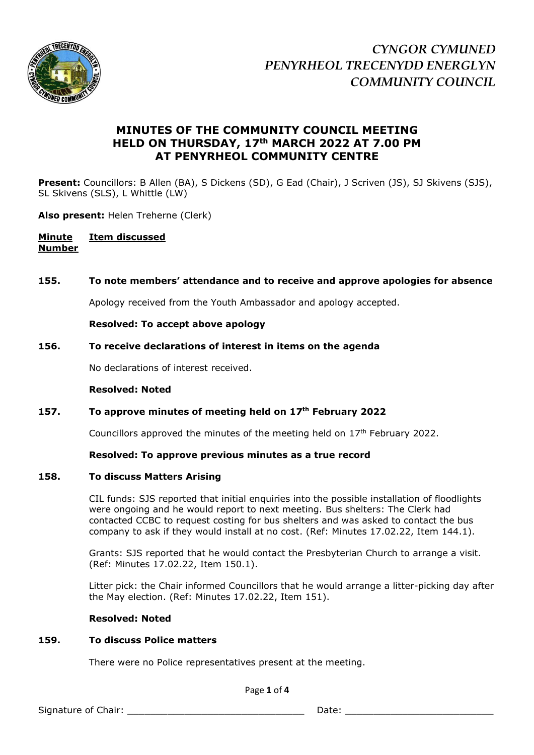

# **MINUTES OF THE COMMUNITY COUNCIL MEETING HELD ON THURSDAY, 17th MARCH 2022 AT 7.00 PM AT PENYRHEOL COMMUNITY CENTRE**

**Present:** Councillors: B Allen (BA), S Dickens (SD), G Ead (Chair), J Scriven (JS), SJ Skivens (SJS), SL Skivens (SLS), L Whittle (LW)

**Also present:** Helen Treherne (Clerk)

# **Minute Item discussed Number**

# **155. To note members' attendance and to receive and approve apologies for absence**

Apology received from the Youth Ambassador and apology accepted.

**Resolved: To accept above apology**

# **156. To receive declarations of interest in items on the agenda**

No declarations of interest received.

#### **Resolved: Noted**

# **157. To approve minutes of meeting held on 17th February 2022**

Councillors approved the minutes of the meeting held on  $17<sup>th</sup>$  February 2022.

# **Resolved: To approve previous minutes as a true record**

# **158. To discuss Matters Arising**

CIL funds: SJS reported that initial enquiries into the possible installation of floodlights were ongoing and he would report to next meeting. Bus shelters: The Clerk had contacted CCBC to request costing for bus shelters and was asked to contact the bus company to ask if they would install at no cost. (Ref: Minutes 17.02.22, Item 144.1).

Grants: SJS reported that he would contact the Presbyterian Church to arrange a visit. (Ref: Minutes 17.02.22, Item 150.1).

Litter pick: the Chair informed Councillors that he would arrange a litter-picking day after the May election. (Ref: Minutes 17.02.22, Item 151).

# **Resolved: Noted**

# **159. To discuss Police matters**

There were no Police representatives present at the meeting.

Page **1** of **4**

Signature of Chair: \_\_\_\_\_\_\_\_\_\_\_\_\_\_\_\_\_\_\_\_\_\_\_\_\_\_\_\_\_\_\_ Date: \_\_\_\_\_\_\_\_\_\_\_\_\_\_\_\_\_\_\_\_\_\_\_\_\_\_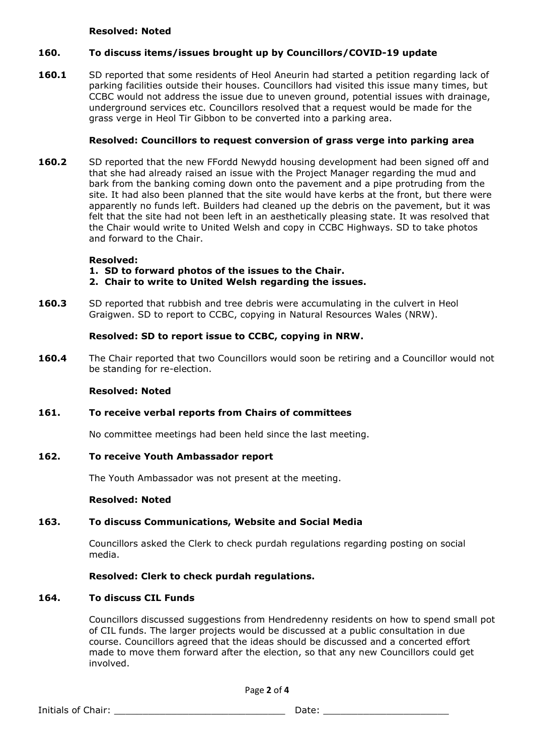#### **Resolved: Noted**

# **160. To discuss items/issues brought up by Councillors/COVID-19 update**

**160.1** SD reported that some residents of Heol Aneurin had started a petition regarding lack of parking facilities outside their houses. Councillors had visited this issue many times, but CCBC would not address the issue due to uneven ground, potential issues with drainage, underground services etc. Councillors resolved that a request would be made for the grass verge in Heol Tir Gibbon to be converted into a parking area.

# **Resolved: Councillors to request conversion of grass verge into parking area**

**160.2** SD reported that the new FFordd Newydd housing development had been signed off and that she had already raised an issue with the Project Manager regarding the mud and bark from the banking coming down onto the pavement and a pipe protruding from the site. It had also been planned that the site would have kerbs at the front, but there were apparently no funds left. Builders had cleaned up the debris on the pavement, but it was felt that the site had not been left in an aesthetically pleasing state. It was resolved that the Chair would write to United Welsh and copy in CCBC Highways. SD to take photos and forward to the Chair.

#### **Resolved:**

- **1. SD to forward photos of the issues to the Chair.**
- **2. Chair to write to United Welsh regarding the issues.**
- **160.3** SD reported that rubbish and tree debris were accumulating in the culvert in Heol Graigwen. SD to report to CCBC, copying in Natural Resources Wales (NRW).

# **Resolved: SD to report issue to CCBC, copying in NRW.**

**160.4** The Chair reported that two Councillors would soon be retiring and a Councillor would not be standing for re-election.

#### **Resolved: Noted**

# **161. To receive verbal reports from Chairs of committees**

No committee meetings had been held since the last meeting.

# **162. To receive Youth Ambassador report**

The Youth Ambassador was not present at the meeting.

#### **Resolved: Noted**

# **163. To discuss Communications, Website and Social Media**

Councillors asked the Clerk to check purdah regulations regarding posting on social media.

# **Resolved: Clerk to check purdah regulations.**

#### **164. To discuss CIL Funds**

Councillors discussed suggestions from Hendredenny residents on how to spend small pot of CIL funds. The larger projects would be discussed at a public consultation in due course. Councillors agreed that the ideas should be discussed and a concerted effort made to move them forward after the election, so that any new Councillors could get involved.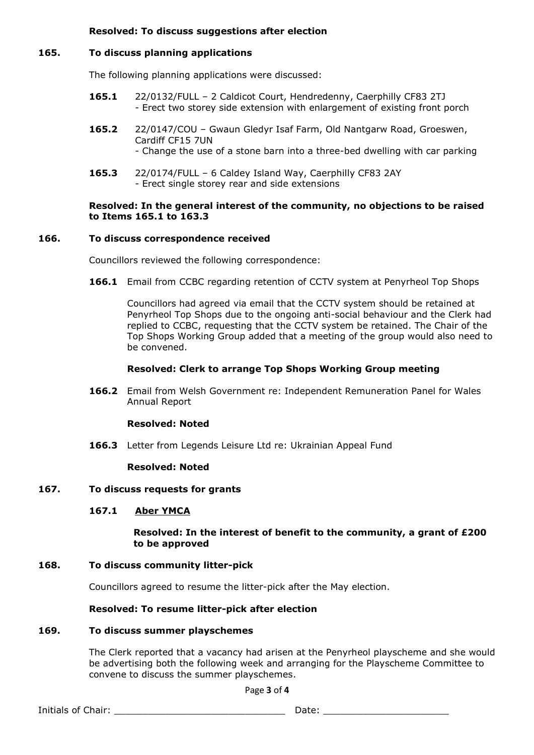# **Resolved: To discuss suggestions after election**

# **165. To discuss planning applications**

The following planning applications were discussed:

- **165.1** 22/0132/FULL 2 Caldicot Court, Hendredenny, Caerphilly CF83 2TJ - Erect two storey side extension with enlargement of existing front porch
- **165.2** 22/0147/COU Gwaun Gledyr Isaf Farm, Old Nantgarw Road, Groeswen, Cardiff CF15 7UN - Change the use of a stone barn into a three-bed dwelling with car parking
- **165.3** 22/0174/FULL 6 Caldey Island Way, Caerphilly CF83 2AY - Erect single storey rear and side extensions

# **Resolved: In the general interest of the community, no objections to be raised to Items 165.1 to 163.3**

# **166. To discuss correspondence received**

Councillors reviewed the following correspondence:

**166.1** Email from CCBC regarding retention of CCTV system at Penyrheol Top Shops

Councillors had agreed via email that the CCTV system should be retained at Penyrheol Top Shops due to the ongoing anti-social behaviour and the Clerk had replied to CCBC, requesting that the CCTV system be retained. The Chair of the Top Shops Working Group added that a meeting of the group would also need to be convened.

# **Resolved: Clerk to arrange Top Shops Working Group meeting**

**166.2** Email from Welsh Government re: Independent Remuneration Panel for Wales Annual Report

# **Resolved: Noted**

**166.3** Letter from Legends Leisure Ltd re: Ukrainian Appeal Fund

# **Resolved: Noted**

# **167. To discuss requests for grants**

# **167.1 Aber YMCA**

# **Resolved: In the interest of benefit to the community, a grant of £200 to be approved**

# **168. To discuss community litter-pick**

Councillors agreed to resume the litter-pick after the May election.

# **Resolved: To resume litter-pick after election**

# **169. To discuss summer playschemes**

The Clerk reported that a vacancy had arisen at the Penyrheol playscheme and she would be advertising both the following week and arranging for the Playscheme Committee to convene to discuss the summer playschemes.

Page **3** of **4**